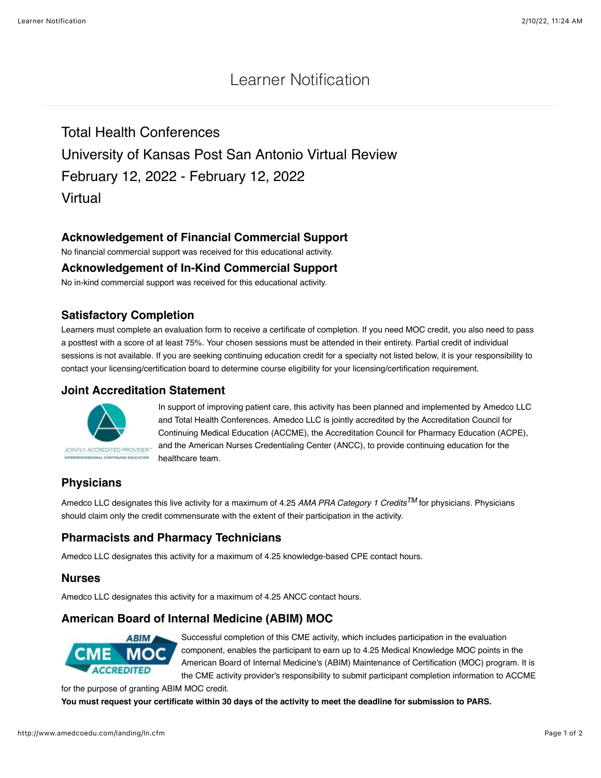# Learner Notification

Total Health Conferences University of Kansas Post San Antonio Virtual Review February 12, 2022 - February 12, 2022 Virtual

### **Acknowledgement of Financial Commercial Support**

No financial commercial support was received for this educational activity.

#### **Acknowledgement of In-Kind Commercial Support**

No in-kind commercial support was received for this educational activity.

#### **Satisfactory Completion**

Learners must complete an evaluation form to receive a certificate of completion. If you need MOC credit, you also need to pass a posttest with a score of at least 75%. Your chosen sessions must be attended in their entirety. Partial credit of individual sessions is not available. If you are seeking continuing education credit for a specialty not listed below, it is your responsibility to contact your licensing/certification board to determine course eligibility for your licensing/certification requirement.

#### **Joint Accreditation Statement**



In support of improving patient care, this activity has been planned and implemented by Amedco LLC and Total Health Conferences. Amedco LLC is jointly accredited by the Accreditation Council for Continuing Medical Education (ACCME), the Accreditation Council for Pharmacy Education (ACPE), and the American Nurses Credentialing Center (ANCC), to provide continuing education for the healthcare team.

# **Physicians**

Amedco LLC designates this live activity for a maximum of 4.25 *AMA PRA Category 1 CreditsTM* for physicians. Physicians should claim only the credit commensurate with the extent of their participation in the activity.

# **Pharmacists and Pharmacy Technicians**

Amedco LLC designates this activity for a maximum of 4.25 knowledge-based CPE contact hours.

#### **Nurses**

Amedco LLC designates this activity for a maximum of 4.25 ANCC contact hours.

# **American Board of Internal Medicine (ABIM) MOC**



Successful completion of this CME activity, which includes participation in the evaluation component, enables the participant to earn up to 4.25 Medical Knowledge MOC points in the American Board of Internal Medicine's (ABIM) Maintenance of Certification (MOC) program. It is the CME activity provider's responsibility to submit participant completion information to ACCME

for the purpose of granting ABIM MOC credit.

**You must request your certificate within 30 days of the activity to meet the deadline for submission to PARS.**